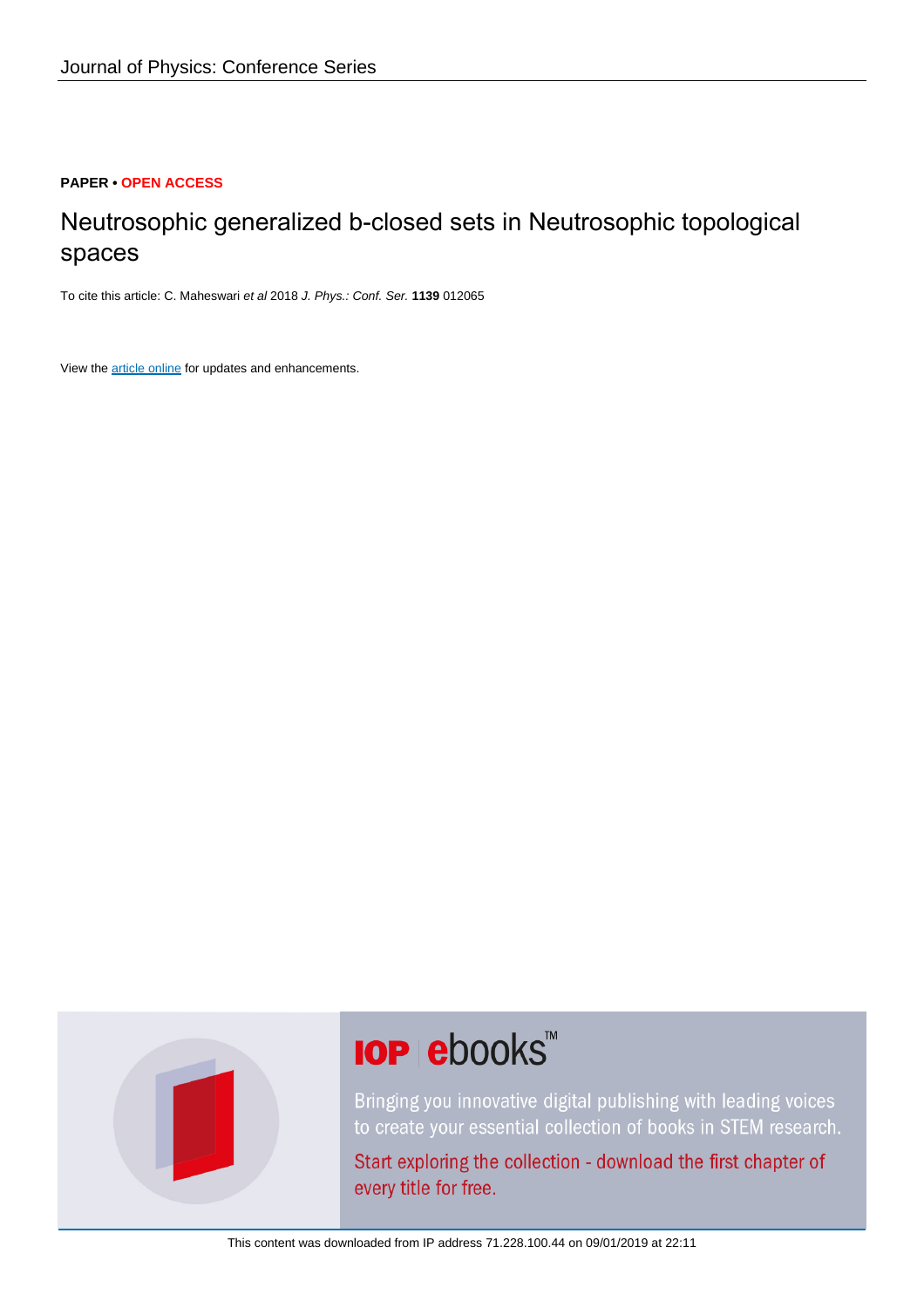#### **PAPER • OPEN ACCESS**

## Neutrosophic generalized b-closed sets in Neutrosophic topological spaces

To cite this article: C. Maheswari et al 2018 J. Phys.: Conf. Ser. **1139** 012065

View the [article online](https://doi.org/10.1088/1742-6596/1139/1/012065) for updates and enhancements.



# **IOP ebooks**™

Bringing you innovative digital publishing with leading voices to create your essential collection of books in STEM research.

Start exploring the collection - download the first chapter of every title for free.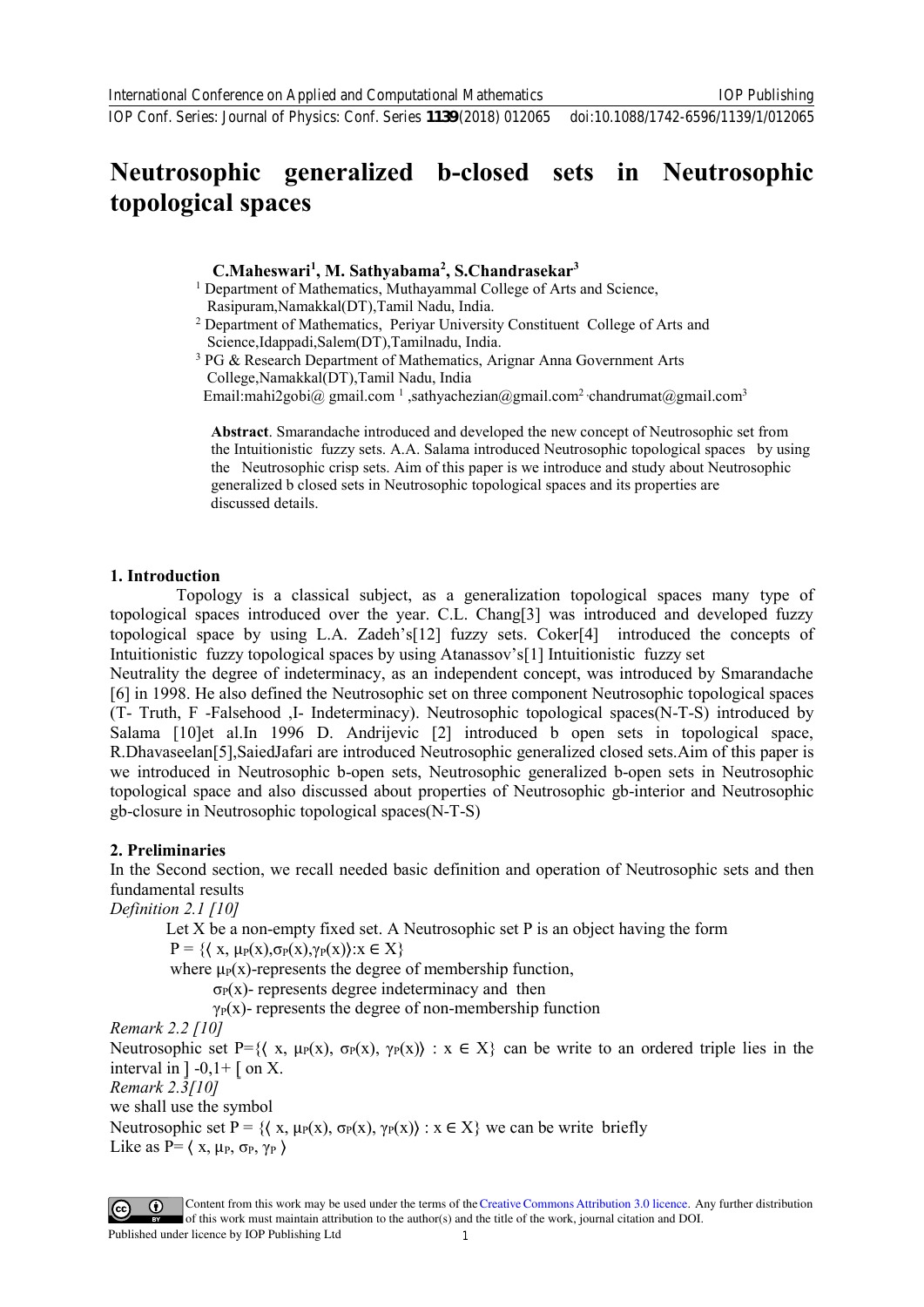## **Neutrosophic generalized b-closed sets in Neutrosophic topological spaces**

#### **C.Maheswari1 , M. Sathyabama2 , S.Chandrasekar3**

- <sup>1</sup> Department of Mathematics, Muthayammal College of Arts and Science, Rasipuram, Namakkal(DT), Tamil Nadu, India.
- <sup>2</sup> Department of Mathematics, Periyar University Constituent College of Arts and

Science,Idappadi,Salem(DT),Tamilnadu, India.<br><sup>3</sup> PG & Research Department of Mathematics, Arignar Anna Government Arts College,Namakkal(DT),Tamil Nadu, India Email:mahi2gobi@ gmail.com 1 ,sathyachezian@gmail.com2 ,chandrumat@gmail.com3

> **Abstract**[. Smarandache introduc](mailto:%20mahi2gobi@%20gmail.com%201)ed and developed the new [concept of Neutrosophic se](mailto:chandrumat@gmail.com)t from the Intuitionistic fuzzy sets. A.A. Salama introduced Neutrosophic topological spaces by using the Neutrosophic crisp sets. Aim of this paper is we introduce and study about Neutrosophic generalized b closed sets in Neutrosophic topological spaces and its properties are discussed details.

#### **1. Introduction**

Topology is a classical subject, as a generalization topological spaces many type of topological spaces introduced over the year. C.L. Chang[3] was introduced and developed fuzzy topological space by using L.A. Zadeh's[12] fuzzy sets. Coker[4] introduced the concepts of Intuitionistic fuzzy topological spaces by using Atanassov's[1] Intuitionistic fuzzy set

Neutrality the degree of indeterminacy, as an independent concept, was introduced by Smarandache [6] in 1998. He also defined the Neutrosophic set on three component Neutrosophic topological spaces (T- Truth, F -Falsehood ,I- Indeterminacy). Neutrosophic topological spaces(N-T-S) introduced by Salama [10]et al.In 1996 D. Andrijevic [2] introduced b open sets in topological space, R.Dhavaseelan[5],SaiedJafari are introduced Neutrosophic generalized closed sets.Aim of this paper is we introduced in Neutrosophic b-open sets, Neutrosophic generalized b-open sets in Neutrosophic topological space and also discussed about properties of Neutrosophic gb-interior and Neutrosophic gb-closure in Neutrosophic topological spaces(N-T-S)

#### **2. Preliminaries**

In the Second section, we recall needed basic definition and operation of Neutrosophic sets and then fundamental results

*Definition 2.1 [10]* 

Let  $X$  be a non-empty fixed set. A Neutrosophic set  $P$  is an object having the form

 $P = \{ (x, \mu_P(x), \sigma_P(x), \gamma_P(x)) : x \in X \}$ 

where  $\mu$ <sup>p</sup>(x)-represents the degree of membership function,

 $\sigma_P(x)$ - represents degree indeterminacy and then

 $\gamma_P(x)$ - represents the degree of non-membership function

#### *Remark 2.2 [10]*

Neutrosophic set P={ $\langle x, \mu_P(x), \sigma_P(x), \gamma_P(x) \rangle : x \in X$ } can be write to an ordered triple lies in the interval in  $]-0,1+$  [ on X.

*Remark 2.3[10]* 

we shall use the symbol

Neutrosophic set P = { $\{x, \mu_P(x), \sigma_P(x), \gamma_P(x)\}$  :  $x \in X$ } we can be write briefly Like as  $P = \langle x, \mu_P, \sigma_P, \gamma_P \rangle$ 

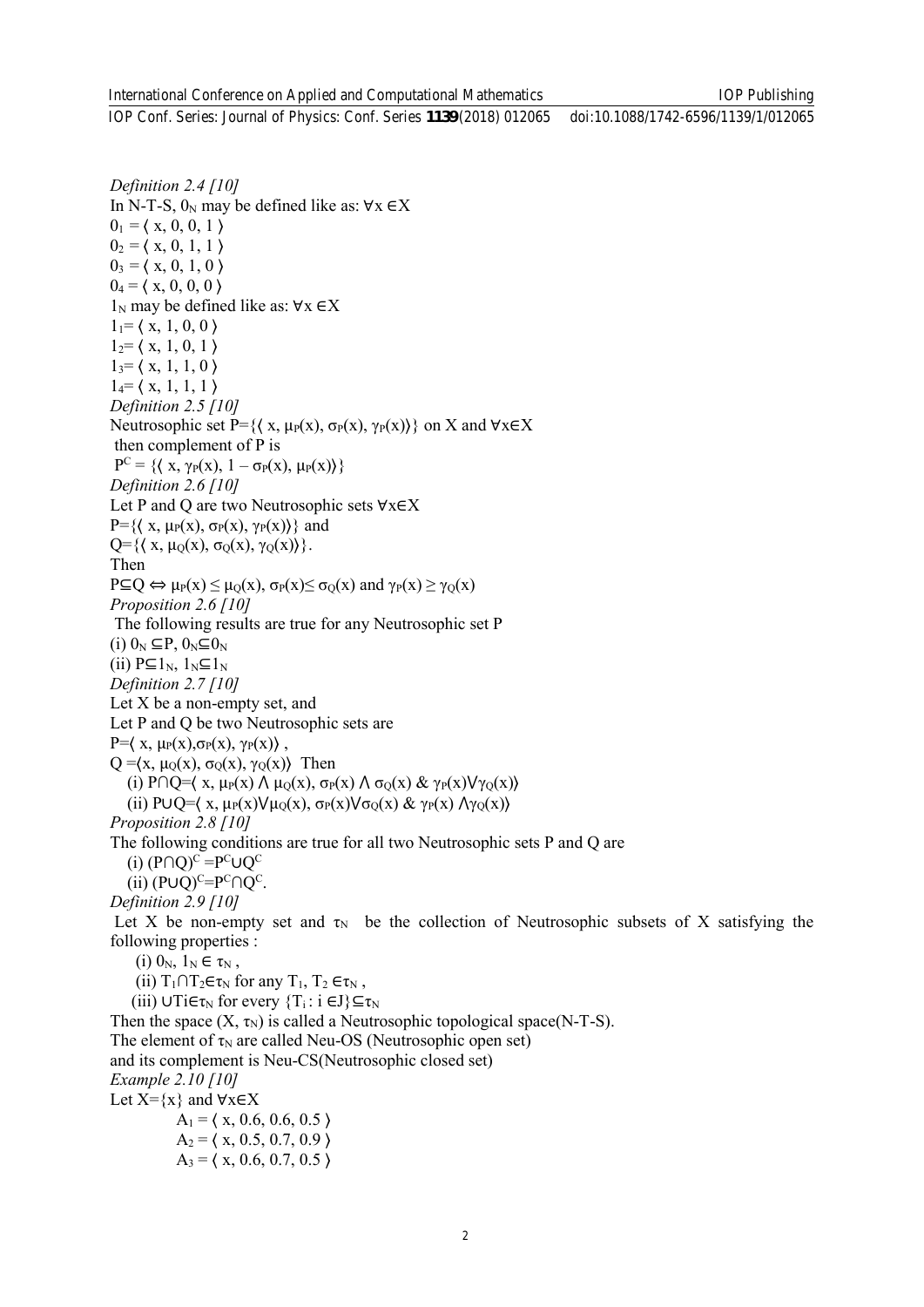*Definition 2.4 [10]* In N-T-S,  $0_N$  may be defined like as:  $\forall x \in X$  $0_1 = \langle x, 0, 0, 1 \rangle$  $0_2 = \langle x, 0, 1, 1 \rangle$  $0_3 = \langle x, 0, 1, 0 \rangle$  $0_4 = \langle x, 0, 0, 0 \rangle$  $1_N$  may be defined like as:  $\forall x \in X$  $1<sub>1</sub>=$  (x, 1, 0, 0)  $1_2$ =  $\langle x, 1, 0, 1 \rangle$  $1<sub>3</sub>=$  (x, 1, 1, 0)  $1_4$ =  $\langle x, 1, 1, 1 \rangle$ *Definition 2.5 [10]*  Neutrosophic set P={ $\{ (x, \mu_P(x), \sigma_P(x), \gamma_P(x)) \}$  on X and  $\forall x \in X$ then complement of P is  $P^{C} = \{ \langle x, \gamma_{P}(x), 1 - \sigma_{P}(x), \mu_{P}(x) \rangle \}$ *Definition 2.6 [10]*  Let P and Q are two Neutrosophic sets ∀x∈X  $P=\{\langle x, \mu_P(x), \sigma_P(x), \gamma_P(x)\rangle\}$  and  $Q=\{\langle x, \mu_Q(x), \sigma_Q(x), \gamma_Q(x)\rangle\}.$ Then  $P \subseteq Q \Leftrightarrow \mu_P(x) \leq \mu_Q(x), \sigma_P(x) \leq \sigma_Q(x)$  and  $\gamma_P(x) \geq \gamma_Q(x)$ *Proposition 2.6 [10]*  The following results are true for any Neutrosophic set P (i)  $0_N \subseteq P$ ,  $0_N \subseteq 0_N$ (ii)  $P \subseteq 1_N$ ,  $1_N \subseteq 1_N$ *Definition 2.7 [10]*  Let X be a non-empty set, and Let P and Q be two Neutrosophic sets are P= $\langle x, \mu_P(x), \sigma_P(x), \gamma_P(x) \rangle$ ,  $Q = \langle x, \mu_Q(x), \sigma_Q(x), \gamma_Q(x) \rangle$  Then (i) P∩Q= $\langle x, \mu_P(x) \land \mu_Q(x), \sigma_P(x) \land \sigma_Q(x) \& \gamma_P(x) \lor \gamma_Q(x) \rangle$ (ii) P∪Q= $\langle x, \mu_P(x) \vee \mu_Q(x), \sigma_P(x) \vee \sigma_Q(x) \& \gamma_P(x) \wedge \gamma_Q(x) \rangle$ *Proposition 2.8 [10]* The following conditions are true for all two Neutrosophic sets P and Q are  $(i)$  (P∩Q)<sup>c</sup> = P<sup>c</sup>∪Q<sup>c</sup> (ii)  $(P \cup Q)^{C} = P^C \cap Q^C$ . *Definition 2.9 [10]*  Let X be non-empty set and  $\tau_N$  be the collection of Neutrosophic subsets of X satisfying the following properties : (i)  $0_N$ ,  $1_N \in \tau_N$ , (ii)  $T_1 \cap T_2 \in \tau_N$  for any  $T_1$ ,  $T_2 \in \tau_N$ , (iii)  $\cup$ Ti $\in$ τ<sub>N</sub> for every  $\{T_i : i \in J\} \subseteq \tau_N$ Then the space  $(X, \tau_N)$  is called a Neutrosophic topological space(N-T-S). The element of  $\tau_N$  are called Neu-OS (Neutrosophic open set) and its complement is Neu-CS(Neutrosophic closed set) *Example 2.10 [10]*  Let  $X=\{x\}$  and  $\forall x \in X$  $A_1 = \langle x, 0.6, 0.6, 0.5 \rangle$  $A_2 = \langle x, 0.5, 0.7, 0.9 \rangle$  $A_3 = \langle x, 0.6, 0.7, 0.5 \rangle$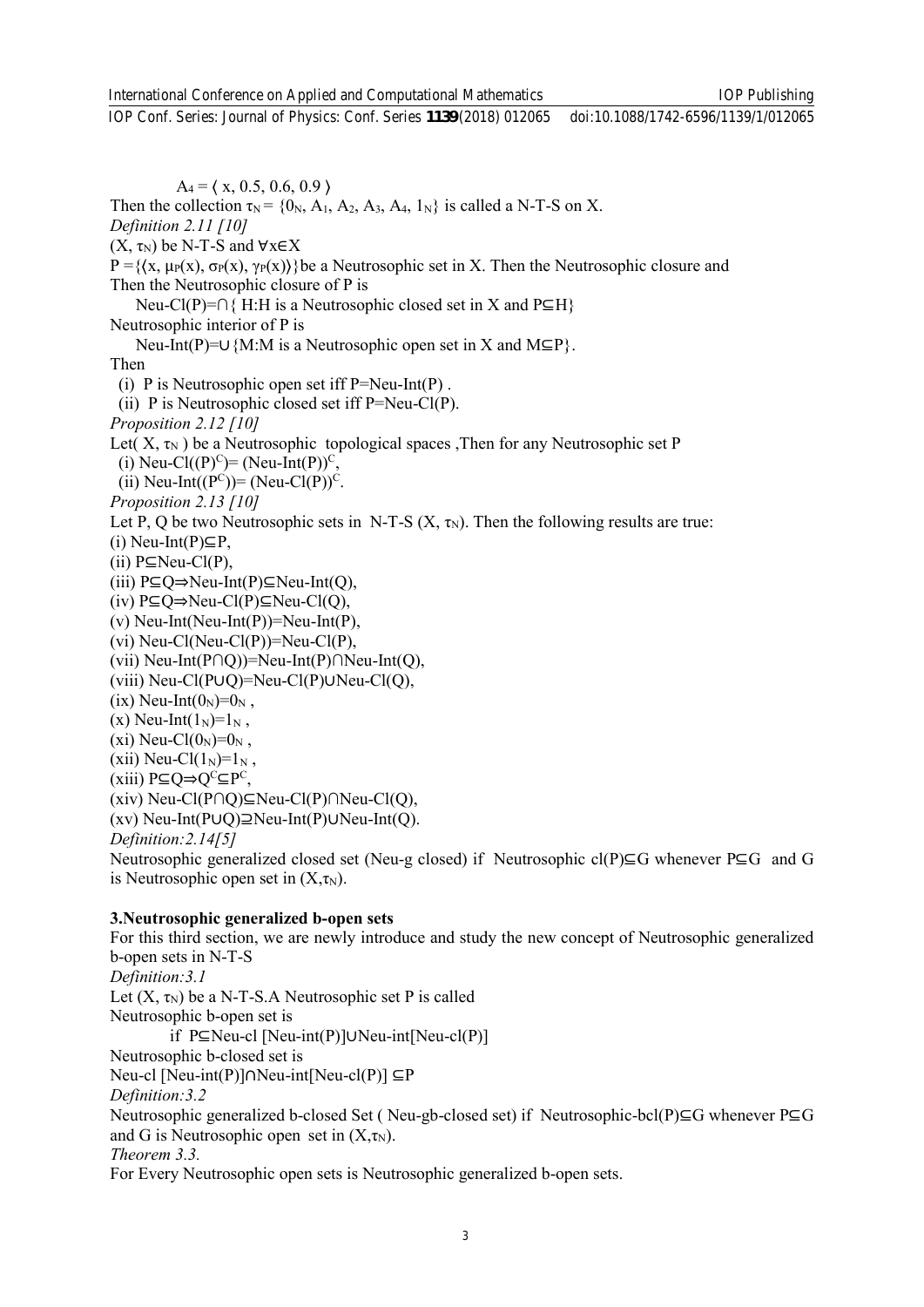IOP Publishing

IOP Conf. Series: Journal of Physics: Conf. Series **1139** (2018) 012065 doi:10.1088/1742-6596/1139/1/012065

 $A_4 = \langle x, 0.5, 0.6, 0.9 \rangle$ Then the collection  $\tau_N = \{0_N, A_1, A_2, A_3, A_4, 1_N\}$  is called a N-T-S on X. *Definition 2.11 [10]*   $(X, \tau_N)$  be N-T-S and  $\forall x \in X$ P = { $(x, μ<sub>P</sub>(x), σ<sub>P</sub>(x))$ }be a Neutrosophic set in X. Then the Neutrosophic closure and Then the Neutrosophic closure of P is Neu-Cl(P)=∩{ H:H is a Neutrosophic closed set in X and P⊆H} Neutrosophic interior of P is Neu-Int(P)=∪{M:M is a Neutrosophic open set in X and M⊆P}. Then (i) P is Neutrosophic open set iff  $P=Neu-Int(P)$ . (ii) P is Neutrosophic closed set iff  $P=Neu-Cl(P)$ . *Proposition 2.12 [10]*  Let(  $X, \tau_N$ ) be a Neutrosophic topological spaces ,Then for any Neutrosophic set P (i) Neu-Cl((P)<sup>C</sup>)= (Neu-Int(P))<sup>C</sup>, (ii) Neu-Int( $(P^C)$ ) = (Neu-Cl $(P)$ )<sup>C</sup>. *Proposition 2.13 [10]*  Let P, Q be two Neutrosophic sets in N-T-S  $(X, \tau_N)$ . Then the following results are true: (i) Neu-Int(P)⊆P, (ii)  $P ⊆ Neu-Cl(P)$ . (iii) P⊆Q⇒Neu-Int(P)⊆Neu-Int(Q), (iv) P⊆Q⇒Neu-Cl(P)⊆Neu-Cl(Q), (v) Neu-Int(Neu-Int(P))=Neu-Int(P), (vi) Neu-Cl(Neu-Cl(P))=Neu-Cl(P), (vii) Neu-Int(P∩Q))=Neu-Int(P)∩Neu-Int(Q), (viii) Neu-Cl(P∪Q)=Neu-Cl(P)∪Neu-Cl(Q), (ix) Neu-Int $(0_N)=0_N$ , (x) Neu-Int $(1_N)=1_N$ , (xi) Neu-Cl $(0_N)=0_N$ , (xii) Neu-Cl $(1_N)=1_N$ , (xiii) P⊆Q⇒Q<sup>C</sup>⊆P<sup>C</sup>, (xiv) Neu-Cl(P∩Q)⊆Neu-Cl(P)∩Neu-Cl(Q), (xv) Neu-Int(P∪Q)⊇Neu-Int(P)∪Neu-Int(Q). *Definition:2.14[5]* Neutrosophic generalized closed set (Neu-g closed) if Neutrosophic cl(P)⊆G whenever P⊆G and G is Neutrosophic open set in  $(X, \tau_N)$ .

#### **3.Neutrosophic generalized b-open sets**

For this third section, we are newly introduce and study the new concept of Neutrosophic generalized b-open sets in N-T-S *Definition:3.1*  Let  $(X, \tau_N)$  be a N-T-S.A Neutrosophic set P is called Neutrosophic b-open set is if P⊆Neu-cl [Neu-int(P)]∪Neu-int[Neu-cl(P)] Neutrosophic b-closed set is Neu-cl [Neu-int(P)]∩Neu-int[Neu-cl(P)] ⊆P *Definition:3.2* Neutrosophic generalized b-closed Set ( Neu-gb-closed set) if Neutrosophic-bcl(P)⊆G whenever P⊆G and G is Neutrosophic open set in  $(X, \tau_N)$ . *Theorem 3.3.*  For Every Neutrosophic open sets is Neutrosophic generalized b-open sets.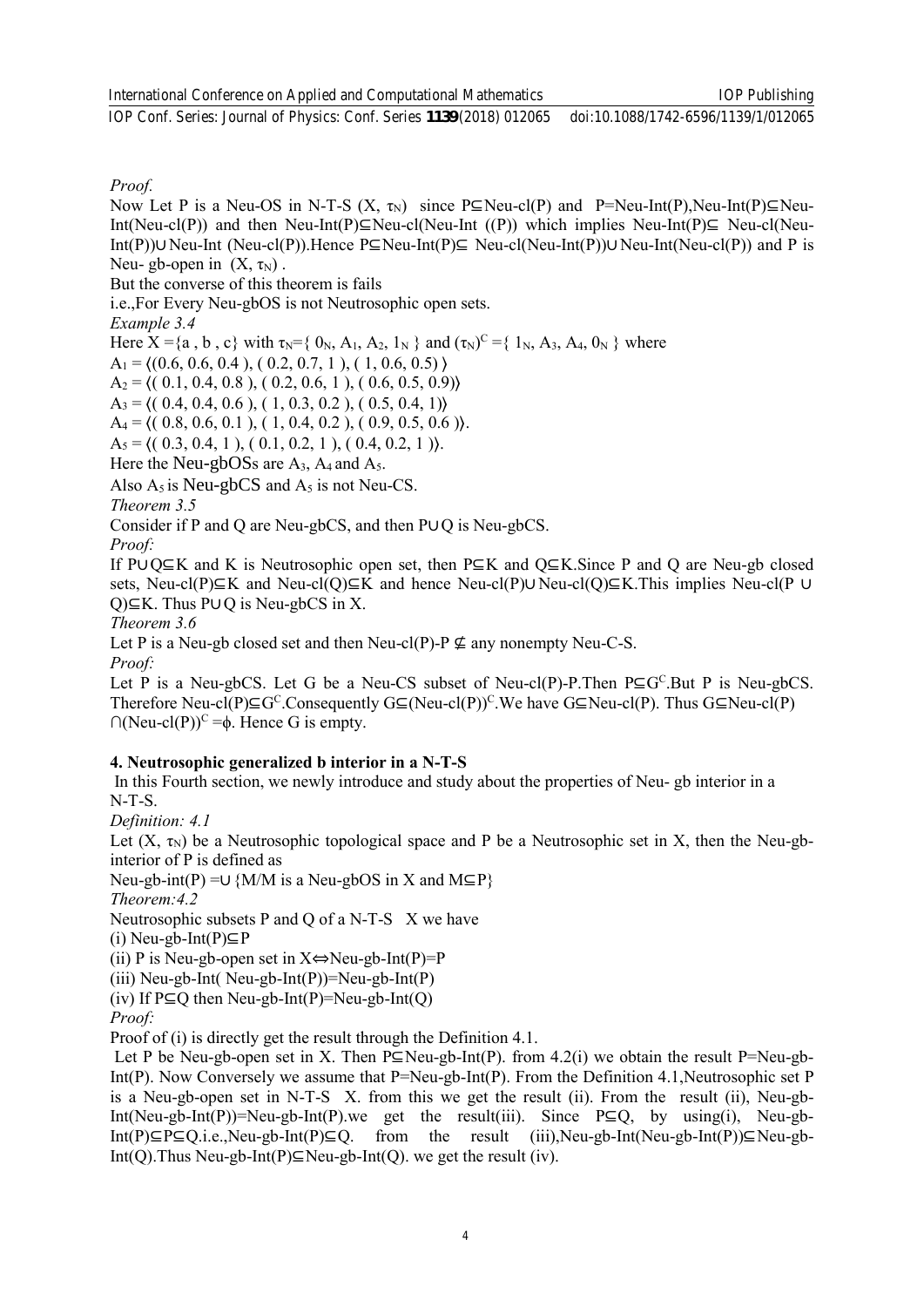IOP Publishing

*Proof.* 

Now Let P is a Neu-OS in N-T-S  $(X, \tau_N)$  since P⊆Neu-cl(P) and P=Neu-Int(P),Neu-Int(P)⊆Neu-Int(Neu-cl(P)) and then Neu-Int(P)⊆Neu-cl(Neu-Int ((P)) which implies Neu-Int(P)⊆ Neu-cl(Neu-Int(P))∪Neu-Int (Neu-cl(P)).Hence P⊆Neu-Int(P)⊆ Neu-cl(Neu-Int(P))∪Neu-Int(Neu-cl(P)) and P is Neu- gb-open in  $(X, \tau_N)$ .

But the converse of this theorem is fails

i.e.,For Every Neu-gbOS is not Neutrosophic open sets.

*Example 3.4*

Here  $X = \{a, b, c\}$  with  $\tau_N = \{0_N, A_1, A_2, 1_N\}$  and  $(\tau_N)^C = \{1_N, A_3, A_4, 0_N\}$  where

 $A_1 = \{(0.6, 0.6, 0.4), (0.2, 0.7, 1), (1, 0.6, 0.5)\}\$ 

 $A_2 = \langle (0.1, 0.4, 0.8), (0.2, 0.6, 1), (0.6, 0.5, 0.9) \rangle$ 

 $A_3 = \langle (0.4, 0.4, 0.6), (1, 0.3, 0.2), (0.5, 0.4, 1) \rangle$ 

 $A_4 = \langle (0.8, 0.6, 0.1), (1, 0.4, 0.2), (0.9, 0.5, 0.6) \rangle$ .

 $A_5 = \langle (0.3, 0.4, 1), (0.1, 0.2, 1), (0.4, 0.2, 1) \rangle$ .

Here the Neu-gbOSs are A<sub>3</sub>, A<sub>4</sub> and A<sub>5</sub>.

Also  $A_5$  is Neu-gbCS and  $A_5$  is not Neu-CS.

*Theorem 3.5* 

Consider if P and Q are Neu-gbCS, and then P∪Q is Neu-gbCS.

*Proof:* 

If P∪Q⊆K and K is Neutrosophic open set, then P⊆K and Q⊆K.Since P and Q are Neu-gb closed sets, Neu-cl(P)⊆K and Neu-cl(Q)⊆K and hence Neu-cl(P)∪Neu-cl(Q)⊆K.This implies Neu-cl(P ∪ Q)⊆K. Thus P∪Q is Neu-gbCS in X.

*Theorem 3.6*

Let P is a Neu-gb closed set and then Neu-cl(P)-P  $\nsubseteq$  any nonempty Neu-C-S.

*Proof:* 

Let P is a Neu-gbCS. Let G be a Neu-CS subset of Neu-cl(P)-P. Then  $P \subseteq G^C$ . But P is Neu-gbCS. Therefore Neu-cl(P)⊆G<sup>C</sup>.Consequently G⊆(Neu-cl(P))<sup>C</sup>.We have G⊆Neu-cl(P). Thus G⊆Neu-cl(P)  $\bigcap (Neu-cl(P))^C = \phi$ . Hence G is empty.

#### **4. Neutrosophic generalized b interior in a N-T-S**

In this Fourth section, we newly introduce and study about the properties of Neu- gb interior in a N-T-S.

*Definition: 4.1*

Let  $(X, \tau_N)$  be a Neutrosophic topological space and P be a Neutrosophic set in X, then the Neu-gbinterior of P is defined as

Neu-gb-int(P) =∪  ${M/M}$  is a Neu-gbOS in X and M⊆P}

*Theorem:4.2*

Neutrosophic subsets P and Q of a N-T-S X we have

(i) Neu-gb-Int(P)⊆P

(ii) P is Neu-gb-open set in  $X \Leftrightarrow$  Neu-gb-Int(P)=P

(iii) Neu-gb-Int( Neu-gb-Int(P))=Neu-gb-Int(P)

(iv) If  $P \subseteq Q$  then Neu-gb-Int(P)=Neu-gb-Int(Q)

*Proof:*

Proof of (i) is directly get the result through the Definition 4.1.

Let P be Neu-gb-open set in X. Then P⊆Neu-gb-Int(P). from 4.2(i) we obtain the result P=Neu-gb-Int(P). Now Conversely we assume that P=Neu-gb-Int(P). From the Definition 4.1, Neutrosophic set P is a Neu-gb-open set in N-T-S X. from this we get the result (ii). From the result (ii), Neu-gb-Int(Neu-gb-Int(P))=Neu-gb-Int(P).we get the result(iii). Since  $P \subseteq Q$ , by using(i), Neu-gb-Int(P)⊆P⊆Q.i.e.,Neu-gb-Int(P)⊆Q. from the result (iii),Neu-gb-Int(Neu-gb-Int(P))⊆Neu-gb-Int(Q).Thus Neu-gb-Int(P)⊆Neu-gb-Int(Q). we get the result (iv).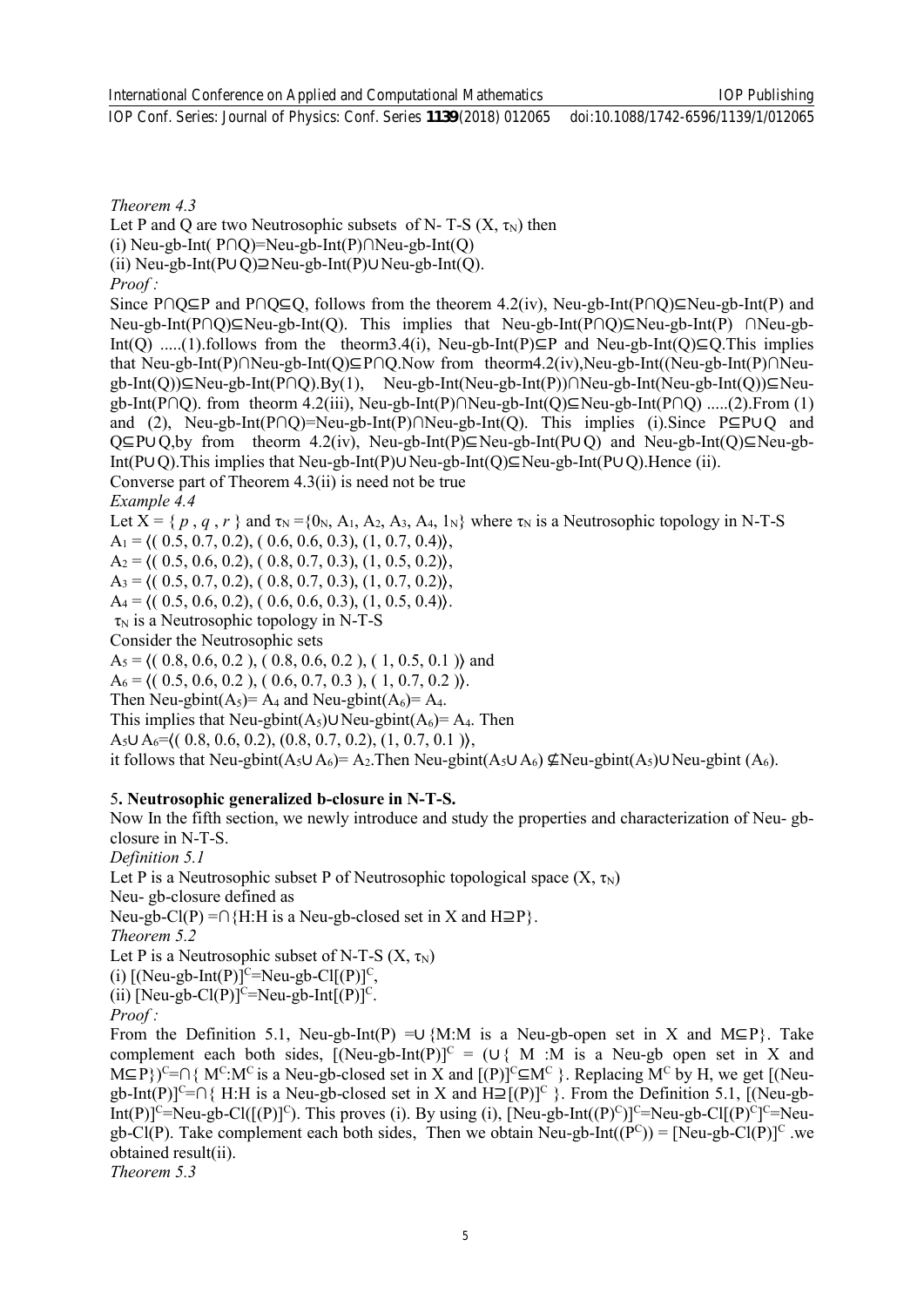IOP Publishing

*Theorem 4.3*

Let P and Q are two Neutrosophic subsets of N- T-S  $(X, \tau_N)$  then

(i) Neu-gb-Int( P∩Q)=Neu-gb-Int(P)∩Neu-gb-Int(Q)

(ii) Neu-gb-Int(P∪Q)⊇Neu-gb-Int(P)∪Neu-gb-Int(Q).

*Proof :* 

Since P∩Q⊆P and P∩Q⊆Q, follows from the theorem 4.2(iv), Neu-gb-Int(P∩Q)⊆Neu-gb-Int(P) and Neu-gb-Int(P∩Q)⊆Neu-gb-Int(Q). This implies that Neu-gb-Int(P∩Q)⊆Neu-gb-Int(P) ∩Neu-gb-Int(O) .....(1).follows from the theorm3.4(i), Neu-gb-Int(P)⊆P and Neu-gb-Int(O)⊆O.This implies that Neu-gb-Int(P)∩Neu-gb-Int(Q)⊆P∩Q.Now from theorm4.2(iv),Neu-gb-Int((Neu-gb-Int(P)∩Neugb-Int(Q))⊆Neu-gb-Int(P∩Q).By(1), Neu-gb-Int(Neu-gb-Int(P))∩Neu-gb-Int(Neu-gb-Int(Q))⊆Neugb-Int(P∩Q). from theorm 4.2(iii), Neu-gb-Int(P)∩Neu-gb-Int(Q)⊆Neu-gb-Int(P∩Q) .....(2).From (1) and (2), Neu-gb-Int(P∩Q)=Neu-gb-Int(P)∩Neu-gb-Int(Q). This implies (i).Since P⊆P∪Q and Q⊆P∪Q,by from theorm 4.2(iv), Neu-gb-Int(P)⊆Neu-gb-Int(P∪Q) and Neu-gb-Int(Q)⊆Neu-gb-Int(P∪Q).This implies that Neu-gb-Int(P)∪Neu-gb-Int(Q)⊆Neu-gb-Int(P∪Q).Hence (ii). Converse part of Theorem 4.3(ii) is need not be true

*Example 4.4*

Let  $X = \{p, q, r\}$  and  $\tau_N = \{0_N, A_1, A_2, A_3, A_4, 1_N\}$  where  $\tau_N$  is a Neutrosophic topology in N-T-S

 $A_1 = \langle (0.5, 0.7, 0.2), (0.6, 0.6, 0.3), (1, 0.7, 0.4) \rangle$ ,

 $A_2 = \{(0.5, 0.6, 0.2), (0.8, 0.7, 0.3), (1, 0.5, 0.2)\},\$ 

 $A_3 = \langle (0.5, 0.7, 0.2), (0.8, 0.7, 0.3), (1, 0.7, 0.2) \rangle$ ,

 $A_4 = \langle (0.5, 0.6, 0.2), (0.6, 0.6, 0.3), (1, 0.5, 0.4) \rangle$ .

 $\tau_N$  is a Neutrosophic topology in N-T-S

Consider the Neutrosophic sets

 $A_5 = \{(0.8, 0.6, 0.2), (0.8, 0.6, 0.2), (1, 0.5, 0.1)\}$  and

 $A_6 = \langle (0.5, 0.6, 0.2), (0.6, 0.7, 0.3), (1, 0.7, 0.2) \rangle$ .

Then Neu-gbint( $A_5$ )=  $A_4$  and Neu-gbint( $A_6$ )=  $A_4$ .

This implies that Neu-gbint(A<sub>5</sub>)∪Neu-gbint(A<sub>6</sub>)= A<sub>4</sub>. Then

A<sub>5</sub>∪ A<sub>6</sub>= $((0.8, 0.6, 0.2), (0.8, 0.7, 0.2), (1, 0.7, 0.1)$ 

it follows that Neu-gbint(A<sub>5</sub>∪A<sub>6</sub>)= A<sub>2</sub>. Then Neu-gbint(A<sub>5</sub>∪A<sub>6</sub>) ⊈Neu-gbint(A<sub>5</sub>)∪Neu-gbint (A<sub>6</sub>).

#### 5**. Neutrosophic generalized b-closure in N-T-S.**

Now In the fifth section, we newly introduce and study the properties and characterization of Neu- gbclosure in N-T-S.

*Definition 5.1* 

Let P is a Neutrosophic subset P of Neutrosophic topological space  $(X, \tau_N)$ 

Neu- gb-closure defined as

Neu-gb-Cl(P) =∩{H:H is a Neu-gb-closed set in X and H⊇P}.

*Theorem 5.2* 

Let P is a Neutrosophic subset of N-T-S  $(X, \tau_N)$ 

(i)  $[(Neu-gb-Int(P)]^C=Neu-gb-Cl[(P)]^C$ ,

(ii) [Neu-gb-Cl(P)]<sup>C</sup>=Neu-gb-Int[(P)]<sup>C</sup>.

*Proof :* 

From the Definition 5.1, Neu-gb-Int(P) =∪ {M:M is a Neu-gb-open set in X and M⊆P}. Take complement each both sides,  $[(Neu-gb-Int(P)]^C = (U{M : M is a Neu-gb open set in X and$  $M\subseteq P$ })<sup>C</sup>=∩{ M<sup>C</sup>:M<sup>C</sup> is a Neu-gb-closed set in X and [(P)]<sup>C</sup>⊆M<sup>C</sup> }. Replacing M<sup>C</sup> by H, we get [(Neugb-Int(P)]<sup>C</sup>=∩{ H:H is a Neu-gb-closed set in X and H⊇[(P)]<sup>C</sup> }. From the Definition 5.1, [(Neu-gb-Int(P)]<sup>C</sup>=Neu-gb-Cl([(P)]<sup>C</sup>). This proves (i). By using (i), [Neu-gb-Int((P)<sup>C</sup>)]<sup>C</sup>=Neu-gb-Cl[(P)<sup>C</sup>]<sup>C</sup>=Neugb-Cl(P). Take complement each both sides, Then we obtain Neu-gb-Int( $(P^C)$ ) = [Neu-gb-Cl(P)]<sup>C</sup> we obtained result(ii).

*Theorem 5.3*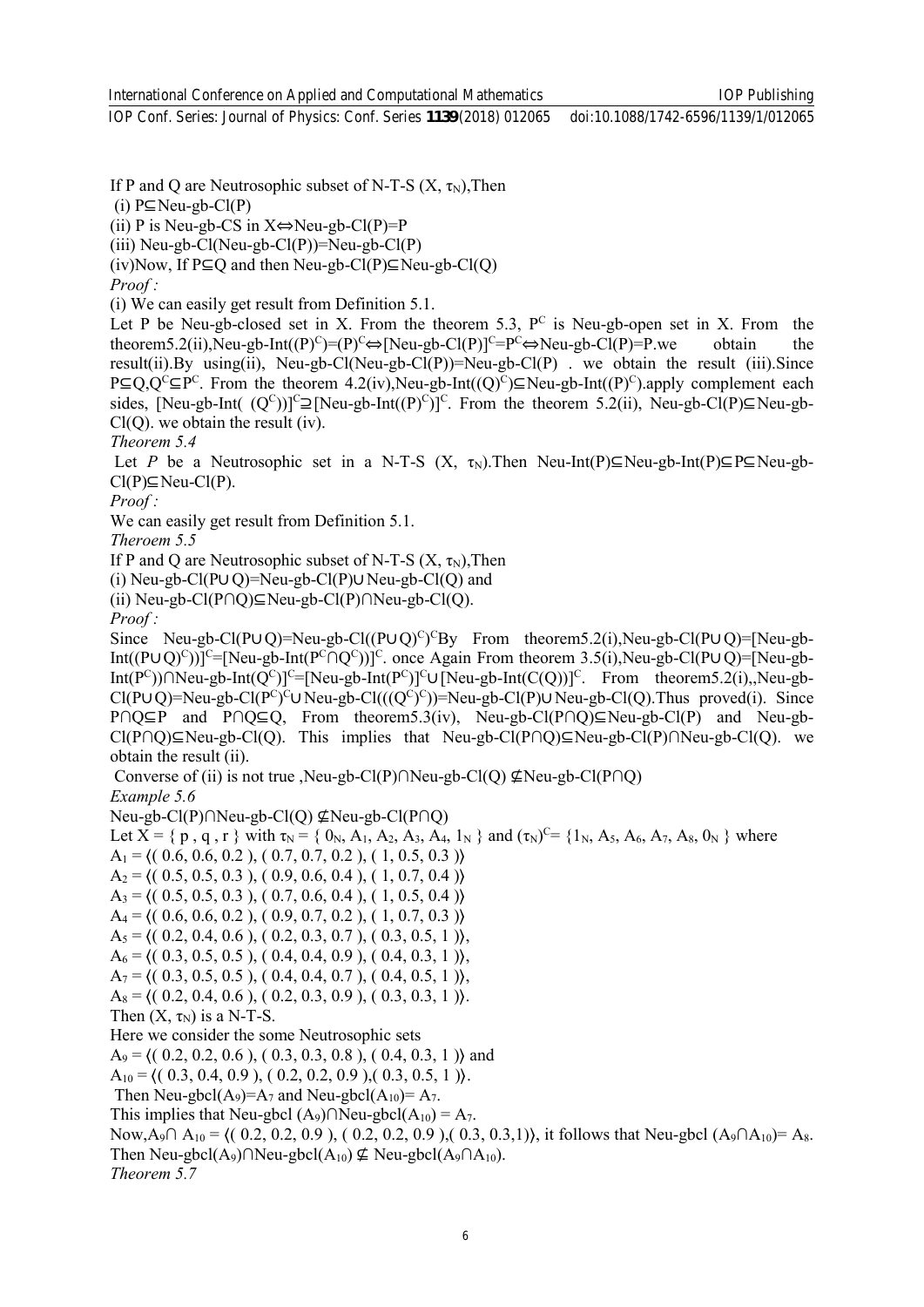If P and Q are Neutrosophic subset of N-T-S  $(X, \tau_N)$ , Then

(i) P⊆Neu-gb-Cl(P)

*Proof :* 

*Proof :* 

*Proof :*

IOP Conf. Series: Journal of Physics: Conf. Series **1139** (2018) 012065 doi:10.1088/1742-6596/1139/1/012065

IOP Publishing

(ii) P is Neu-gb-CS in  $X \Leftrightarrow$  Neu-gb-Cl(P)=P (iii) Neu-gb-Cl(Neu-gb-Cl(P))=Neu-gb-Cl(P) (iv)Now, If  $P \subseteq O$  and then Neu-gb-Cl(P) $\subseteq$ Neu-gb-Cl(O) (i) We can easily get result from Definition 5.1. Let P be Neu-gb-closed set in X. From the theorem 5.3,  $P^C$  is Neu-gb-open set in X. From the theorem5.2(ii),Neu-gb-Int( $(P)^C$ )= $(P)^C \Leftrightarrow [Neu-gb-Cl(P)]^C=P^C \Leftrightarrow Neu-gb-Cl(P)=P$ .we obtain the result(ii).By using(ii), Neu-gb-Cl(Neu-gb-Cl(P))=Neu-gb-Cl(P) . we obtain the result (iii).Since P⊆Q,Q<sup>c</sup>⊆P<sup>c</sup>. From the theorem 4.2(iv),Neu-gb-Int((Q)<sup>c</sup>)⊆Neu-gb-Int((P)<sup>c</sup>).apply complement each sides, [Neu-gb-Int( $(Q^C)$ )]<sup>C</sup> $\supseteq$ [Neu-gb-Int( $(P)^C$ )]<sup>C</sup>. From the theorem 5.2(ii), Neu-gb-Cl(P) $\subseteq$ Neu-gb- $Cl(Q)$ , we obtain the result (iv). *Theorem 5.4* Let *P* be a Neutrosophic set in a N-T-S (X,  $\tau_N$ ). Then Neu-Int(P)⊆Neu-gb-Int(P)⊆P⊆Neu-gb- $Cl(P) \subseteq Neu-Cl(P)$ . We can easily get result from Definition 5.1. *Theroem 5.5*  If P and Q are Neutrosophic subset of N-T-S  $(X, \tau_N)$ , Then (i) Neu-gb-Cl(P∪Q)=Neu-gb-Cl(P)∪Neu-gb-Cl(Q) and (ii) Neu-gb-Cl(P∩Q)⊆Neu-gb-Cl(P)∩Neu-gb-Cl(Q). Since Neu-gb-Cl(P∪Q)=Neu-gb-Cl((P∪Q)<sup>c</sup>)<sup>c</sup>By From theorem5.2(i),Neu-gb-Cl(P∪Q)=[Neu-gb-Int( $(PUQ)^{C}$ )]<sup>C</sup>=[Neu-gb-Int( $P^{C} \cap Q^{C}$ ))]<sup>C</sup>. once Again From theorem 3.5(i),Neu-gb-Cl( $PUQ$ )=[Neu-gb-Int(P<sup>C</sup>))∩Neu-gb-Int(Q<sup>C</sup>)]<sup>C</sup>=[Neu-gb-Int(P<sup>C</sup>)]<sup>C</sup>∪[Neu-gb-Int(C(Q))]<sup>C</sup>. From theorem5.2(i),,Neu-gb- $Cl(P \cup Q)$ =Neu-gb-Cl( $P^C$ )<sup>c</sup> $\cup$ Neu-gb-Cl((( $Q^C$ )<sup>c</sup>))=Neu-gb-Cl(P) $\cup$ Neu-gb-Cl(Q).Thus proved(i). Since P∩Q⊆P and P∩Q⊆Q, From theorem5.3(iv), Neu-gb-Cl(P∩Q)⊆Neu-gb-Cl(P) and Neu-gb-Cl(P∩Q)⊆Neu-gb-Cl(Q). This implies that Neu-gb-Cl(P∩Q)⊆Neu-gb-Cl(P)∩Neu-gb-Cl(Q). we obtain the result (ii). Converse of (ii) is not true ,Neu-gb-Cl(P)∩Neu-gb-Cl(Q) ⊈Neu-gb-Cl(P∩Q) *Example 5.6* Neu-gb-Cl(P)∩Neu-gb-Cl(Q) ⊈Neu-gb-Cl(P∩Q) Let  $X = \{ p, q, r \}$  with  $\tau_N = \{ 0_N, A_1, A_2, A_3, A_4, 1_N \}$  and  $(\tau_N)^{C} = \{ 1_N, A_5, A_6, A_7, A_8, 0_N \}$  where  $A_1 = \langle (0.6, 0.6, 0.2), (0.7, 0.7, 0.2), (1, 0.5, 0.3) \rangle$  $A_2 = \{(0.5, 0.5, 0.3), (0.9, 0.6, 0.4), (1, 0.7, 0.4)\}$  $A_3 = \langle (0.5, 0.5, 0.3), (0.7, 0.6, 0.4), (1, 0.5, 0.4) \rangle$  $A_4 = \{(0.6, 0.6, 0.2), (0.9, 0.7, 0.2), (1, 0.7, 0.3)\}\$  $A_5 = \{(0.2, 0.4, 0.6), (0.2, 0.3, 0.7), (0.3, 0.5, 1)\},\$  $A_6 = \langle (0.3, 0.5, 0.5), (0.4, 0.4, 0.9), (0.4, 0.3, 1) \rangle$ ,  $A_7 = \{(0.3, 0.5, 0.5), (0.4, 0.4, 0.7), (0.4, 0.5, 1)\},\$  $A_8 = \{(0.2, 0.4, 0.6), (0.2, 0.3, 0.9), (0.3, 0.3, 1)\}.$ Then  $(X, \tau_N)$  is a N-T-S. Here we consider the some Neutrosophic sets  $A_9 = \langle (0.2, 0.2, 0.6), (0.3, 0.3, 0.8), (0.4, 0.3, 1) \rangle$  and  $A_{10} = \langle (0.3, 0.4, 0.9), (0.2, 0.2, 0.9), (0.3, 0.5, 1) \rangle$ . Then Neu-gbcl( $A_9$ )= $A_7$  and Neu-gbcl( $A_{10}$ )= $A_7$ . This implies that Neu-gbcl  $(A_9) \cap$ Neu-gbcl $(A_{10}) = A_7$ . Now,A<sub>9</sub>∩ A<sub>10</sub> =  $\{(0.2, 0.2, 0.9), (0.2, 0.2, 0.9), (0.3, 0.3,1)\}$ , it follows that Neu-gbcl (A<sub>9</sub>∩A<sub>10</sub>)= A<sub>8</sub>. Then Neu-gbcl(A<sub>9</sub>)∩Neu-gbcl(A<sub>10</sub>)  $\nsubseteq$  Neu-gbcl(A<sub>9</sub>∩A<sub>10</sub>). *Theorem 5.7*